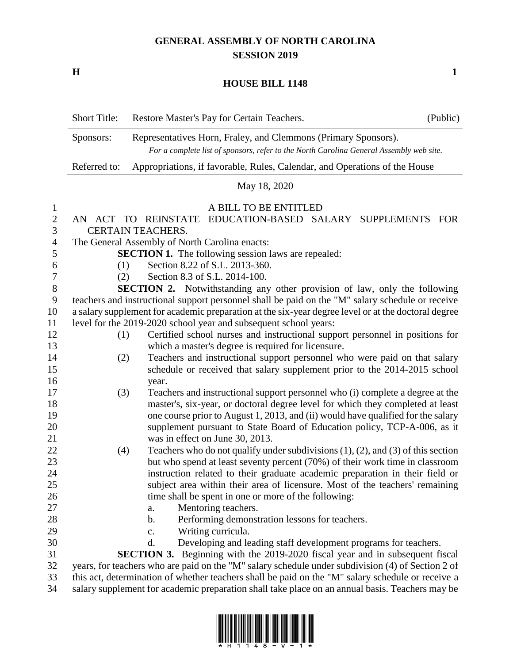## **GENERAL ASSEMBLY OF NORTH CAROLINA SESSION 2019**

**H 1**

## **HOUSE BILL 1148**

|                                                                                                                                                                        | <b>Short Title:</b>                                                                                 | Restore Master's Pay for Certain Teachers.                                                                                                                         | (Public) |
|------------------------------------------------------------------------------------------------------------------------------------------------------------------------|-----------------------------------------------------------------------------------------------------|--------------------------------------------------------------------------------------------------------------------------------------------------------------------|----------|
| Representatives Horn, Fraley, and Clemmons (Primary Sponsors).<br>Sponsors:<br>For a complete list of sponsors, refer to the North Carolina General Assembly web site. |                                                                                                     |                                                                                                                                                                    |          |
|                                                                                                                                                                        | Referred to:                                                                                        | Appropriations, if favorable, Rules, Calendar, and Operations of the House                                                                                         |          |
|                                                                                                                                                                        | May 18, 2020                                                                                        |                                                                                                                                                                    |          |
| $\mathbf{1}$                                                                                                                                                           |                                                                                                     | A BILL TO BE ENTITLED                                                                                                                                              |          |
| $\mathbf{2}$                                                                                                                                                           | AN                                                                                                  | EDUCATION-BASED SALARY SUPPLEMENTS<br>ACT TO REINSTATE                                                                                                             | FOR      |
| 3                                                                                                                                                                      | <b>CERTAIN TEACHERS.</b>                                                                            |                                                                                                                                                                    |          |
| 4                                                                                                                                                                      | The General Assembly of North Carolina enacts:                                                      |                                                                                                                                                                    |          |
| 5                                                                                                                                                                      |                                                                                                     | <b>SECTION 1.</b> The following session laws are repealed:                                                                                                         |          |
| 6                                                                                                                                                                      | (1)                                                                                                 | Section 8.22 of S.L. 2013-360.                                                                                                                                     |          |
| $\boldsymbol{7}$                                                                                                                                                       | (2)                                                                                                 | Section 8.3 of S.L. 2014-100.                                                                                                                                      |          |
| $8\,$                                                                                                                                                                  |                                                                                                     | SECTION 2. Notwithstanding any other provision of law, only the following                                                                                          |          |
| 9                                                                                                                                                                      | teachers and instructional support personnel shall be paid on the "M" salary schedule or receive    |                                                                                                                                                                    |          |
| 10                                                                                                                                                                     | a salary supplement for academic preparation at the six-year degree level or at the doctoral degree |                                                                                                                                                                    |          |
| 11                                                                                                                                                                     | level for the 2019-2020 school year and subsequent school years:                                    |                                                                                                                                                                    |          |
| 12<br>13                                                                                                                                                               | (1)                                                                                                 | Certified school nurses and instructional support personnel in positions for<br>which a master's degree is required for licensure.                                 |          |
| 14                                                                                                                                                                     | (2)                                                                                                 | Teachers and instructional support personnel who were paid on that salary                                                                                          |          |
| 15                                                                                                                                                                     |                                                                                                     | schedule or received that salary supplement prior to the 2014-2015 school                                                                                          |          |
| 16                                                                                                                                                                     |                                                                                                     | year.                                                                                                                                                              |          |
| 17                                                                                                                                                                     | (3)                                                                                                 | Teachers and instructional support personnel who (i) complete a degree at the                                                                                      |          |
| 18<br>19                                                                                                                                                               |                                                                                                     | master's, six-year, or doctoral degree level for which they completed at least<br>one course prior to August 1, 2013, and (ii) would have qualified for the salary |          |
| 20                                                                                                                                                                     |                                                                                                     | supplement pursuant to State Board of Education policy, TCP-A-006, as it                                                                                           |          |
| 21                                                                                                                                                                     |                                                                                                     | was in effect on June 30, 2013.                                                                                                                                    |          |
| 22                                                                                                                                                                     | (4)                                                                                                 | Teachers who do not qualify under subdivisions $(1)$ , $(2)$ , and $(3)$ of this section                                                                           |          |
| 23                                                                                                                                                                     |                                                                                                     | but who spend at least seventy percent (70%) of their work time in classroom                                                                                       |          |
| 24                                                                                                                                                                     |                                                                                                     | instruction related to their graduate academic preparation in their field or                                                                                       |          |
| 25                                                                                                                                                                     |                                                                                                     | subject area within their area of licensure. Most of the teachers' remaining                                                                                       |          |
| 26                                                                                                                                                                     |                                                                                                     | time shall be spent in one or more of the following:                                                                                                               |          |
| 27                                                                                                                                                                     |                                                                                                     | Mentoring teachers.<br>a.                                                                                                                                          |          |
| 28                                                                                                                                                                     |                                                                                                     | Performing demonstration lessons for teachers.<br>b.                                                                                                               |          |
| 29                                                                                                                                                                     |                                                                                                     | Writing curricula.<br>c.                                                                                                                                           |          |
| 30                                                                                                                                                                     |                                                                                                     | Developing and leading staff development programs for teachers.<br>d.                                                                                              |          |
| 31                                                                                                                                                                     |                                                                                                     | <b>SECTION 3.</b> Beginning with the 2019-2020 fiscal year and in subsequent fiscal                                                                                |          |
| 32                                                                                                                                                                     | years, for teachers who are paid on the "M" salary schedule under subdivision (4) of Section 2 of   |                                                                                                                                                                    |          |
| 33                                                                                                                                                                     | this act, determination of whether teachers shall be paid on the "M" salary schedule or receive a   |                                                                                                                                                                    |          |
| 34                                                                                                                                                                     | salary supplement for academic preparation shall take place on an annual basis. Teachers may be     |                                                                                                                                                                    |          |